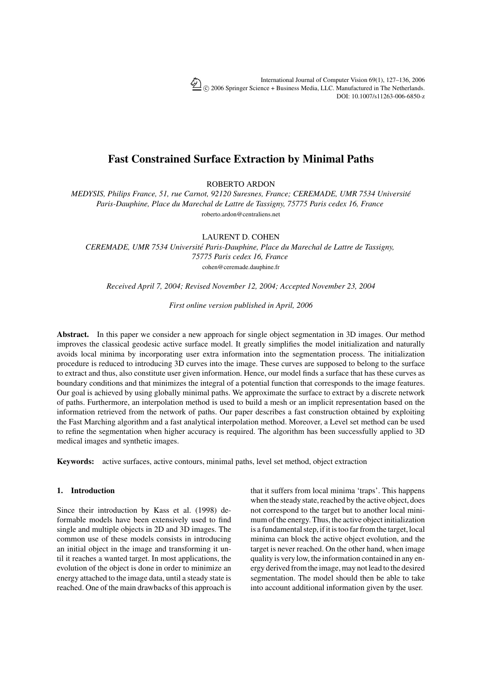International Journal of Computer Vision 69(1), 127–136, 2006 -c 2006 Springer Science + Business Media, LLC. Manufactured in The Netherlands. DOI: 10.1007/s11263-006-6850-z

# **Fast Constrained Surface Extraction by Minimal Paths**

ROBERTO ARDON

*MEDYSIS, Philips France, 51, rue Carnot, 92120 Suresnes, France; CEREMADE, UMR 7534 Universite´ Paris-Dauphine, Place du Marechal de Lattre de Tassigny, 75775 Paris cedex 16, France* roberto.ardon@centraliens.net

LAURENT D. COHEN

*CEREMADE, UMR 7534 Universite Paris-Dauphine, Place du Marechal de Lattre de Tassigny, ´ 75775 Paris cedex 16, France* cohen@ceremade.dauphine.fr

*Received April 7, 2004; Revised November 12, 2004; Accepted November 23, 2004*

*First online version published in April, 2006*

**Abstract.** In this paper we consider a new approach for single object segmentation in 3D images. Our method improves the classical geodesic active surface model. It greatly simplifies the model initialization and naturally avoids local minima by incorporating user extra information into the segmentation process. The initialization procedure is reduced to introducing 3D curves into the image. These curves are supposed to belong to the surface to extract and thus, also constitute user given information. Hence, our model finds a surface that has these curves as boundary conditions and that minimizes the integral of a potential function that corresponds to the image features. Our goal is achieved by using globally minimal paths. We approximate the surface to extract by a discrete network of paths. Furthermore, an interpolation method is used to build a mesh or an implicit representation based on the information retrieved from the network of paths. Our paper describes a fast construction obtained by exploiting the Fast Marching algorithm and a fast analytical interpolation method. Moreover, a Level set method can be used to refine the segmentation when higher accuracy is required. The algorithm has been successfully applied to 3D medical images and synthetic images.

**Keywords:** active surfaces, active contours, minimal paths, level set method, object extraction

# **1. Introduction**

Since their introduction by Kass et al. (1998) deformable models have been extensively used to find single and multiple objects in 2D and 3D images. The common use of these models consists in introducing an initial object in the image and transforming it until it reaches a wanted target. In most applications, the evolution of the object is done in order to minimize an energy attached to the image data, until a steady state is reached. One of the main drawbacks of this approach is that it suffers from local minima 'traps'. This happens when the steady state, reached by the active object, does not correspond to the target but to another local minimum of the energy. Thus, the active object initialization is a fundamental step, if it is too far from the target, local minima can block the active object evolution, and the target is never reached. On the other hand, when image quality is very low, the information contained in any energy derived from the image, may not lead to the desired segmentation. The model should then be able to take into account additional information given by the user.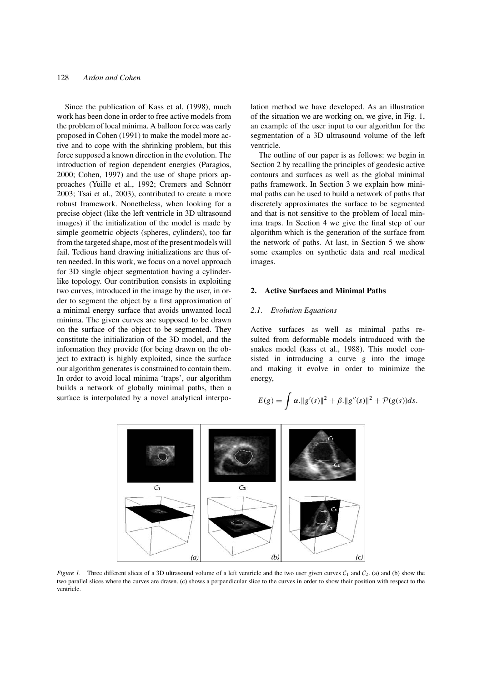Since the publication of Kass et al. (1998), much work has been done in order to free active models from the problem of local minima. A balloon force was early proposed in Cohen (1991) to make the model more active and to cope with the shrinking problem, but this force supposed a known direction in the evolution. The introduction of region dependent energies (Paragios, 2000; Cohen, 1997) and the use of shape priors approaches (Yuille et al., 1992; Cremers and Schnörr 2003; Tsai et al., 2003), contributed to create a more robust framework. Nonetheless, when looking for a precise object (like the left ventricle in 3D ultrasound images) if the initialization of the model is made by simple geometric objects (spheres, cylinders), too far from the targeted shape, most of the present models will fail. Tedious hand drawing initializations are thus often needed. In this work, we focus on a novel approach for 3D single object segmentation having a cylinderlike topology. Our contribution consists in exploiting two curves, introduced in the image by the user, in order to segment the object by a first approximation of a minimal energy surface that avoids unwanted local minima. The given curves are supposed to be drawn on the surface of the object to be segmented. They constitute the initialization of the 3D model, and the information they provide (for being drawn on the object to extract) is highly exploited, since the surface our algorithm generates is constrained to contain them. In order to avoid local minima 'traps', our algorithm builds a network of globally minimal paths, then a surface is interpolated by a novel analytical interpolation method we have developed. As an illustration of the situation we are working on, we give, in Fig. 1, an example of the user input to our algorithm for the segmentation of a 3D ultrasound volume of the left ventricle.

The outline of our paper is as follows: we begin in Section 2 by recalling the principles of geodesic active contours and surfaces as well as the global minimal paths framework. In Section 3 we explain how minimal paths can be used to build a network of paths that discretely approximates the surface to be segmented and that is not sensitive to the problem of local minima traps. In Section 4 we give the final step of our algorithm which is the generation of the surface from the network of paths. At last, in Section 5 we show some examples on synthetic data and real medical images.

#### **2. Active Surfaces and Minimal Paths**

#### *2.1. Evolution Equations*

Active surfaces as well as minimal paths resulted from deformable models introduced with the snakes model (kass et al., 1988). This model consisted in introducing a curve *g* into the image and making it evolve in order to minimize the energy,

$$
E(g) = \int \alpha \cdot ||g'(s)||^2 + \beta \cdot ||g''(s)||^2 + \mathcal{P}(g(s))ds.
$$



*Figure 1*. Three different slices of a 3D ultrasound volume of a left ventricle and the two user given curves  $C_1$  and  $C_2$ . (a) and (b) show the two parallel slices where the curves are drawn. (c) shows a perpendicular slice to the curves in order to show their position with respect to the ventricle.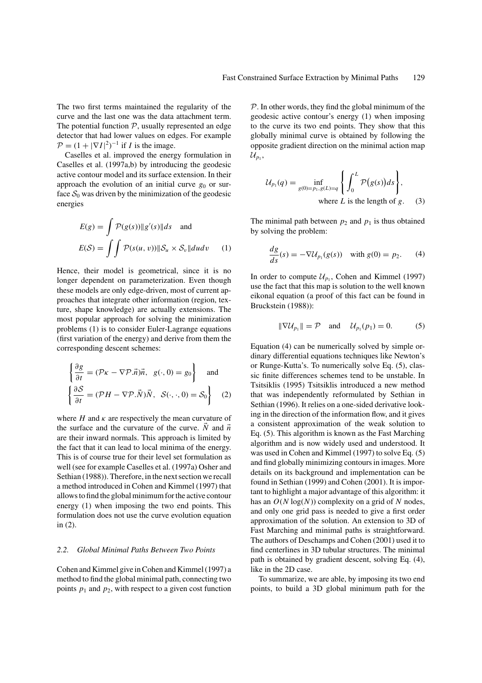The two first terms maintained the regularity of the curve and the last one was the data attachment term. The potential function  $P$ , usually represented an edge detector that had lower values on edges. For example  $\mathcal{P} = (1 + |\nabla I|^2)^{-1}$  if *I* is the image.

Caselles et al. improved the energy formulation in Caselles et al. (1997a,b) by introducing the geodesic active contour model and its surface extension. In their approach the evolution of an initial curve  $g_0$  or surface  $S_0$  was driven by the minimization of the geodesic energies

$$
E(g) = \int \mathcal{P}(g(s)) \|g'(s)\| ds \text{ and}
$$

$$
E(S) = \int \int \mathcal{P}(s(u, v)) \|S_u \times S_v\| du dv \qquad (1)
$$

Hence, their model is geometrical, since it is no longer dependent on parameterization. Even though these models are only edge-driven, most of current approaches that integrate other information (region, texture, shape knowledge) are actually extensions. The most popular approach for solving the minimization problems (1) is to consider Euler-Lagrange equations (first variation of the energy) and derive from them the corresponding descent schemes:

$$
\begin{cases}\n\frac{\partial g}{\partial t} = (\mathcal{P}\kappa - \nabla \mathcal{P}.\vec{n})\vec{n}, \quad g(\cdot, 0) = g_0\n\end{cases}
$$
 and\n
$$
\begin{cases}\n\frac{\partial S}{\partial t} = (\mathcal{P}H - \nabla \mathcal{P}.\vec{N})\vec{N}, \quad S(\cdot, \cdot, 0) = S_0\n\end{cases}
$$
 (2)

where  $H$  and  $\kappa$  are respectively the mean curvature of the surface and the curvature of the curve.  $\dot{N}$  and  $\vec{n}$ are their inward normals. This approach is limited by the fact that it can lead to local minima of the energy. This is of course true for their level set formulation as well (see for example Caselles et al. (1997a) Osher and Sethian (1988)). Therefore, in the next section we recall a method introduced in Cohen and Kimmel (1997) that allows to find the global minimum for the active contour energy (1) when imposing the two end points. This formulation does not use the curve evolution equation in (2).

#### *2.2. Global Minimal Paths Between Two Points*

Cohen and Kimmel give in Cohen and Kimmel (1997) a method to find the global minimal path, connecting two points  $p_1$  and  $p_2$ , with respect to a given cost function

 $P$ . In other words, they find the global minimum of the geodesic active contour's energy (1) when imposing to the curve its two end points. They show that this globally minimal curve is obtained by following the opposite gradient direction on the minimal action map  $\mathcal{U}_{p_1}$ ,

$$
\mathcal{U}_{p_1}(q) = \inf_{g(0) = p_1, g(L) = q} \left\{ \int_0^L \mathcal{P}(g(s))ds \right\},\,
$$
  
where *L* is the length of *g*. (3)

The minimal path between  $p_2$  and  $p_1$  is thus obtained by solving the problem:

$$
\frac{dg}{ds}(s) = -\nabla \mathcal{U}_{p_1}(g(s)) \quad \text{with } g(0) = p_2. \tag{4}
$$

In order to compute  $\mathcal{U}_{p_1}$ , Cohen and Kimmel (1997) use the fact that this map is solution to the well known eikonal equation (a proof of this fact can be found in Bruckstein (1988)):

$$
\|\nabla \mathcal{U}_{p_1}\| = \mathcal{P} \quad \text{and} \quad \mathcal{U}_{p_1}(p_1) = 0. \tag{5}
$$

Equation (4) can be numerically solved by simple ordinary differential equations techniques like Newton's or Runge-Kutta's. To numerically solve Eq. (5), classic finite differences schemes tend to be unstable. In Tsitsiklis (1995) Tsitsiklis introduced a new method that was independently reformulated by Sethian in Sethian (1996). It relies on a one-sided derivative looking in the direction of the information flow, and it gives a consistent approximation of the weak solution to Eq. (5). This algorithm is known as the Fast Marching algorithm and is now widely used and understood. It was used in Cohen and Kimmel (1997) to solve Eq. (5) and find globally minimizing contours in images. More details on its background and implementation can be found in Sethian (1999) and Cohen (2001). It is important to highlight a major advantage of this algorithm: it has an  $O(N \log(N))$  complexity on a grid of N nodes, and only one grid pass is needed to give a first order approximation of the solution. An extension to 3D of Fast Marching and minimal paths is straightforward. The authors of Deschamps and Cohen (2001) used it to find centerlines in 3D tubular structures. The minimal path is obtained by gradient descent, solving Eq. (4), like in the 2D case.

To summarize, we are able, by imposing its two end points, to build a 3D global minimum path for the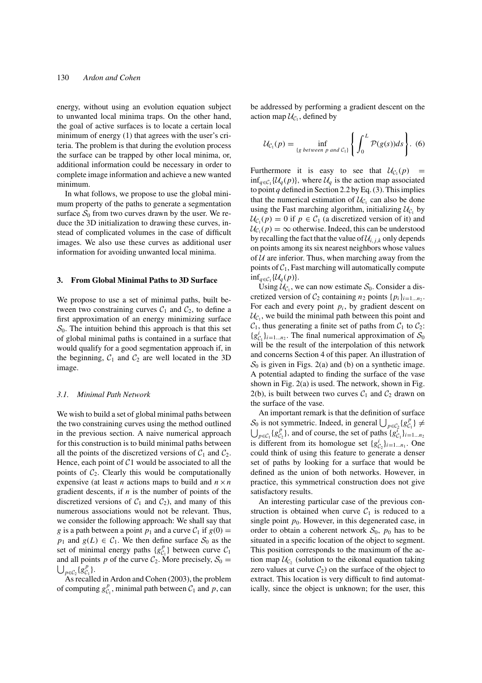energy, without using an evolution equation subject to unwanted local minima traps. On the other hand, the goal of active surfaces is to locate a certain local minimum of energy (1) that agrees with the user's criteria. The problem is that during the evolution process the surface can be trapped by other local minima, or, additional information could be necessary in order to complete image information and achieve a new wanted minimum.

In what follows, we propose to use the global minimum property of the paths to generate a segmentation surface  $S_0$  from two curves drawn by the user. We reduce the 3D initialization to drawing these curves, instead of complicated volumes in the case of difficult images. We also use these curves as additional user information for avoiding unwanted local minima.

## **3. From Global Minimal Paths to 3D Surface**

We propose to use a set of minimal paths, built between two constraining curves  $C_1$  and  $C_2$ , to define a first approximation of an energy minimizing surface  $S_0$ . The intuition behind this approach is that this set of global minimal paths is contained in a surface that would qualify for a good segmentation approach if, in the beginning,  $C_1$  and  $C_2$  are well located in the 3D image.

#### *3.1. Minimal Path Network*

We wish to build a set of global minimal paths between the two constraining curves using the method outlined in the previous section. A naive numerical approach for this construction is to build minimal paths between all the points of the discretized versions of  $C_1$  and  $C_2$ . Hence, each point of  $C1$  would be associated to all the points of  $C_2$ . Clearly this would be computationally expensive (at least *n* actions maps to build and  $n \times n$ gradient descents, if *n* is the number of points of the discretized versions of  $C_1$  and  $C_2$ ), and many of this numerous associations would not be relevant. Thus, we consider the following approach: We shall say that *g* is a path between a point  $p_1$  and a curve  $C_1$  if  $g(0) =$ *p*<sub>1</sub> and *g*(*L*)  $\in$  *C*<sub>1</sub>. We then define surface  $S_0$  as the set of minimal energy paths  ${g^p_{C_1}}$  between curve  $C_1$ and all points p of the curve  $C_2$ . More precisely,  $S_0 =$  $\bigcup_{p \in C_2} \{ g_{C_1}^p \}.$ 

As recalled in Ardon and Cohen (2003), the problem of computing  $g_{\mathcal{C}_1}^p$ , minimal path between  $\mathcal{C}_1$  and  $p$ , can be addressed by performing a gradient descent on the action map  $\mathcal{U}_{\mathcal{C}_1}$ , defined by

$$
\mathcal{U}_{\mathcal{C}_1}(p) = \inf_{\{g \text{ between } p \text{ and } \mathcal{C}_1\}} \left\{ \int_0^L \mathcal{P}(g(s))ds \right\}.
$$
 (6)

Furthermore it is easy to see that  $U_{\mathcal{C}_1}(p)$  =  $\inf_{q \in \mathcal{C}_1} \{ \mathcal{U}_q(p) \}$ , where  $\mathcal{U}_q$  is the action map associated to point  $q$  defined in Section 2.2 by Eq. (3). This implies that the numerical estimation of  $\mathcal{U}_{\mathcal{C}_1}$  can also be done using the Fast marching algorithm, initializing  $\mathcal{U}_{\mathcal{C}_1}$  by  $U_{\mathcal{C}_1}(p) = 0$  if  $p \in \mathcal{C}_1$  (a discretized version of it) and  $U_{\mathcal{C}_1}(p) = \infty$  otherwise. Indeed, this can be understood by recalling the fact that the value of  $\mathcal{U}_{i,j,k}$  only depends on points among its six nearest neighbors whose values of  $U$  are inferior. Thus, when marching away from the points of  $C_1$ , Fast marching will automatically compute  $\inf_{q \in \mathcal{C}_1} \{ \mathcal{U}_q(p) \}.$ 

Using  $\mathcal{U}_{\mathcal{C}_1}$ , we can now estimate  $\mathcal{S}_0$ . Consider a discretized version of  $C_2$  containing  $n_2$  points  $\{p_i\}_{i=1...n}$ . For each and every point  $p_i$ , by gradient descent on  $U_{\mathcal{C}}$ , we build the minimal path between this point and  $C_1$ , thus generating a finite set of paths from  $C_1$  to  $C_2$ :  ${g_{\mathcal{C}_1}^i}_{i=1...n_2}$ . The final numerical approximation of  $\mathcal{S}_0$ will be the result of the interpolation of this network and concerns Section 4 of this paper. An illustration of  $S_0$  is given in Figs. 2(a) and (b) on a synthetic image. A potential adapted to finding the surface of the vase shown in Fig. 2(a) is used. The network, shown in Fig. 2(b), is built between two curves  $C_1$  and  $C_2$  drawn on the surface of the vase.

An important remark is that the definition of surface S<sub>0</sub> is not symmetric. Indeed, in general  $\bigcup_{p \in C_2} \{g_{C_1}^p\} \neq$  $\bigcup_{p \in C_1} \{g_{C_2}^p\}$ , and of course, the set of paths  $\{g_{C_1}^i\}_{i=1...n_2}$ is different from its homologue set  $\{g_{\mathcal{C}_2}^i\}_{i=1...n_1}$ . One could think of using this feature to generate a denser set of paths by looking for a surface that would be defined as the union of both networks. However, in practice, this symmetrical construction does not give satisfactory results.

An interesting particular case of the previous construction is obtained when curve  $C_1$  is reduced to a single point  $p_0$ . However, in this degenerated case, in order to obtain a coherent network  $S_0$ ,  $p_0$  has to be situated in a specific location of the object to segment. This position corresponds to the maximum of the action map  $\mathcal{U}_{\mathcal{C}_2}$  (solution to the eikonal equation taking zero values at curve  $C_2$ ) on the surface of the object to extract. This location is very difficult to find automatically, since the object is unknown; for the user, this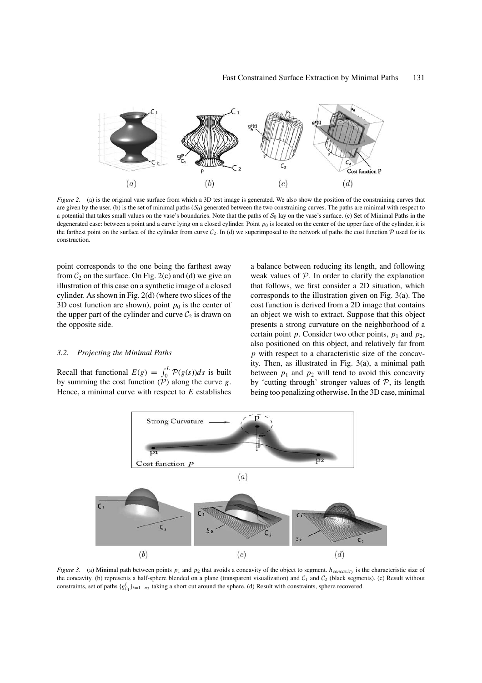

*Figure 2*. (a) is the original vase surface from which a 3D test image is generated. We also show the position of the constraining curves that are given by the user. (b) is the set of minimal paths  $(S_0)$  generated between the two constraining curves. The paths are minimal with respect to a potential that takes small values on the vase's boundaries. Note that the paths of  $S_0$  lay on the vase's surface. (c) Set of Minimal Paths in the degenerated case: between a point and a curve lying on a closed cylinder. Point  $p_0$  is located on the center of the upper face of the cylinder, it is the farthest point on the surface of the cylinder from curve  $C_2$ . In (d) we superimposed to the network of paths the cost function  $\mathcal P$  used for its construction.

point corresponds to the one being the farthest away from  $C_2$  on the surface. On Fig. 2(c) and (d) we give an illustration of this case on a synthetic image of a closed cylinder. As shown in Fig. 2(d) (where two slices of the 3D cost function are shown), point  $p_0$  is the center of the upper part of the cylinder and curve  $C_2$  is drawn on the opposite side.

## *3.2. Projecting the Minimal Paths*

Recall that functional  $E(g) = \int_0^L \mathcal{P}(g(s))ds$  is built by summing the cost function (P) along the curve *g*. Hence, a minimal curve with respect to *E* establishes a balance between reducing its length, and following weak values of  $P$ . In order to clarify the explanation that follows, we first consider a 2D situation, which corresponds to the illustration given on Fig. 3(a). The cost function is derived from a 2D image that contains an object we wish to extract. Suppose that this object presents a strong curvature on the neighborhood of a certain point *p*. Consider two other points,  $p_1$  and  $p_2$ , also positioned on this object, and relatively far from *p* with respect to a characteristic size of the concavity. Then, as illustrated in Fig. 3(a), a minimal path between  $p_1$  and  $p_2$  will tend to avoid this concavity by 'cutting through' stronger values of  $P$ , its length being too penalizing otherwise. In the 3D case, minimal



*Figure 3.* (a) Minimal path between points  $p_1$  and  $p_2$  that avoids a concavity of the object to segment. *h<sub>concavity</sub>* is the characteristic size of the concavity. (b) represents a half-sphere blended on a plane (transparent visualization) and  $C_1$  and  $C_2$  (black segments). (c) Result without constraints, set of paths  $\{g_{\mathcal{C}_1}^i\}_{i=1...n_2}$  taking a short cut around the sphere. (d) Result with constraints, sphere recovered.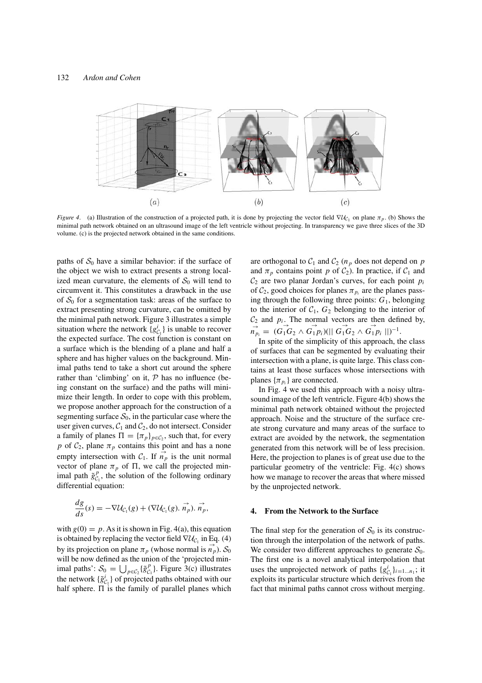

*Figure 4.* (a) Illustration of the construction of a projected path, it is done by projecting the vector field  $\nabla U_{C_1}$  on plane  $\pi_p$ . (b) Shows the minimal path network obtained on an ultrasound image of the left ventricle without projecting. In transparency we gave three slices of the 3D volume. (c) is the projected network obtained in the same conditions.

paths of  $S_0$  have a similar behavior: if the surface of the object we wish to extract presents a strong localized mean curvature, the elements of  $S_0$  will tend to circumvent it. This constitutes a drawback in the use of  $S_0$  for a segmentation task: areas of the surface to extract presenting strong curvature, can be omitted by the minimal path network. Figure 3 illustrates a simple situation where the network  $\{g_{\mathcal{C}_1}^i\}$  is unable to recover the expected surface. The cost function is constant on a surface which is the blending of a plane and half a sphere and has higher values on the background. Minimal paths tend to take a short cut around the sphere rather than 'climbing' on it,  $P$  has no influence (being constant on the surface) and the paths will minimize their length. In order to cope with this problem, we propose another approach for the construction of a segmenting surface  $S_0$ , in the particular case where the user given curves,  $C_1$  and  $C_2$ , do not intersect. Consider a family of planes  $\Pi = {\pi_p}_{p \in C_2}$ , such that, for every *p* of  $C_2$ , plane  $\pi_p$  contains this point and has a none empty intersection with  $C_1$ . If  $\overrightarrow{n_p}$  is the unit normal vector of plane  $\pi_p$  of  $\Pi$ , we call the projected minimal path  $\tilde{g}_{C_1}^p$ , the solution of the following ordinary differential equation:

$$
\frac{dg}{ds}(s) = -\nabla \mathcal{U}_{\mathcal{C}_1}(g) + (\nabla \mathcal{U}_{\mathcal{C}_1}(g), \vec{n}_p), \vec{n}_p,
$$

with  $g(0) = p$ . As it is shown in Fig. 4(a), this equation is obtained by replacing the vector field  $\nabla \mathcal{U}_{\mathcal{C}_1}$  in Eq. (4) by its projection on plane  $\pi_p$  (whose normal is  $\vec{n_p}$ ).  $S_0$ will be now defined as the union of the 'projected minimal paths':  $S_0 = \bigcup_{p \in C_2} {\{\tilde{g}_{C_1}^p\}}$ . Figure 3(c) illustrates the network  $\{\tilde{g}^i_{C_1}\}$  of projected paths obtained with our half sphere.  $\Pi$  is the family of parallel planes which

are orthogonal to  $C_1$  and  $C_2$  ( $n_p$  does not depend on  $p$ and  $\pi_p$  contains point p of  $C_2$ ). In practice, if  $C_1$  and  $C_2$  are two planar Jordan's curves, for each point  $p_i$ of  $C_2$ , good choices for planes  $\pi_{p_i}$  are the planes passing through the following three points: *G*1, belonging to the interior of  $C_1$ ,  $G_2$  belonging to the interior of  $C_2$  and  $p_i$ . The normal vectors are then defined by,  $\overrightarrow{n}_{p_i} = (\overrightarrow{G_1}G_2 \wedge \overrightarrow{G_1}p_i)(|| \overrightarrow{G_1}G_2 \wedge \overrightarrow{G_1}p_i ||)^{-1}.$ 

In spite of the simplicity of this approach, the class of surfaces that can be segmented by evaluating their intersection with a plane, is quite large. This class contains at least those surfaces whose intersections with planes  $\{\pi_{p_i}\}$  are connected.

In Fig. 4 we used this approach with a noisy ultrasound image of the left ventricle. Figure 4(b) shows the minimal path network obtained without the projected approach. Noise and the structure of the surface create strong curvature and many areas of the surface to extract are avoided by the network, the segmentation generated from this network will be of less precision. Here, the projection to planes is of great use due to the particular geometry of the ventricle: Fig. 4(c) shows how we manage to recover the areas that where missed by the unprojected network.

## **4. From the Network to the Surface**

The final step for the generation of  $S_0$  is its construction through the interpolation of the network of paths. We consider two different approaches to generate  $S_0$ . The first one is a novel analytical interpolation that uses the unprojected network of paths  $\{g_{C_1}^i\}_{i=1...n_1}$ ; it exploits its particular structure which derives from the fact that minimal paths cannot cross without merging.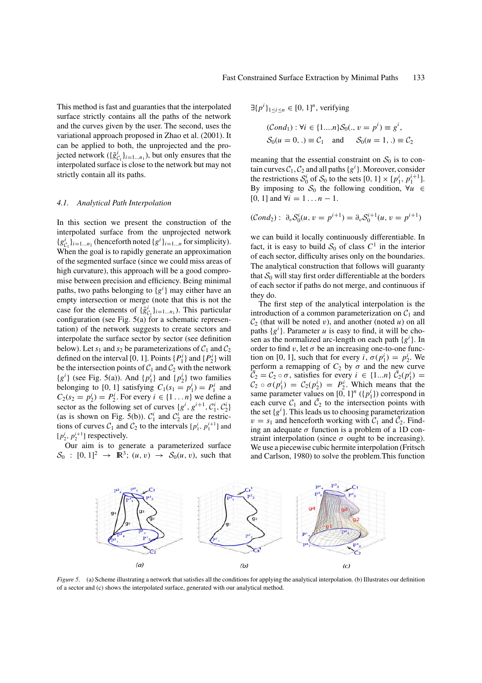This method is fast and guaranties that the interpolated surface strictly contains all the paths of the network and the curves given by the user. The second, uses the variational approach proposed in Zhao et al. (2001). It can be applied to both, the unprojected and the projected network ( $\{\tilde{g}_{\mathcal{C}_1}^i\}_{i=1...n_1}$ ), but only ensures that the interpolated surface is close to the network but may not strictly contain all its paths.

#### *4.1. Analytical Path Interpolation*

In this section we present the construction of the interpolated surface from the unprojected network  ${g_{\mathcal{C}_1}^i}_{i=1...n_2}$  (henceforth noted  ${g^i}_{i=1...n}$  for simplicity). When the goal is to rapidly generate an approximation of the segmented surface (since we could miss areas of high curvature), this approach will be a good compromise between precision and efficiency. Being minimal paths, two paths belonging to {*g<sup>i</sup>* } may either have an empty intersection or merge (note that this is not the case for the elements of  $\{\tilde{g}^i_{C_1}\}_{i=1...n_1}$ ). This particular configuration (see Fig. 5(a) for a schematic representation) of the network suggests to create sectors and interpolate the surface sector by sector (see definition below). Let  $s_1$  and  $s_2$  be parameterizations of  $C_1$  and  $C_2$ defined on the interval [0, 1]. Points  $\{P_1^i\}$  and  $\{P_2^i\}$  will be the intersection points of  $C_1$  and  $C_2$  with the network  ${g<sup>i</sup>}$  (see Fig. 5(a)). And  ${p<sub>1</sub>}$  and  ${p<sub>2</sub>}$  two families belonging to [0, 1] satisfying  $C_1(s_1 = p_1^i) = P_1^i$  and  $C_2(s_2 = p_2^i) = P_2^i$ . For every  $i \in \{1...n\}$  we define a sector as the following set of curves  $\{g^i, g^{i+1}, C_1^i, C_2^i\}$ (as is shown on Fig. 5(b)).  $C_1^i$  and  $C_2^i$  are the restrictions of curves  $C_1$  and  $C_2$  to the intervals  $[p_1^i, p_1^{i+1}]$  and  $[p_2^i, p_2^{i+1}]$  respectively.

Our aim is to generate a parameterized surface  $\mathcal{S}_0$  :  $[0, 1]^2 \rightarrow \mathbb{R}^3$ ;  $(u, v) \rightarrow \mathcal{S}_0(u, v)$ , such that  $\exists \{p^i\}_{1 \le i \le n} \in [0, 1]^n$ , verifying

$$
(\text{Cond}_1) : \forall i \in \{1...n\} S_0(., v = p^i) \equiv g^i,
$$
  
\n $S_0(u = 0,.) \equiv C_1 \text{ and } S_0(u = 1,.) \equiv C_2$ 

meaning that the essential constraint on  $S_0$  is to contain curves  $C_1, C_2$  and all paths  $\{g^i\}$ . Moreover, consider the restrictions  $S_0^i$  of  $S_0$  to the sets  $[0, 1] \times [p_1^i, p_1^{i+1}]$ . By imposing to  $S_0$  the following condition,  $\forall u \in$ [0, 1] and  $\forall i = 1...n - 1$ .

$$
(\mathcal{C}ond_2): \ \partial_v \mathcal{S}_0^i(u, v = p^{i+1}) = \partial_v \mathcal{S}_0^{i+1}(u, v = p^{i+1})
$$

we can build it locally continuously differentiable. In fact, it is easy to build  $S_0$  of class  $C<sup>1</sup>$  in the interior of each sector, difficulty arises only on the boundaries. The analytical construction that follows will guaranty that  $S_0$  will stay first order differentiable at the borders of each sector if paths do not merge, and continuous if they do.

The first step of the analytical interpolation is the introduction of a common parameterization on  $C_1$  and  $C_2$  (that will be noted *v*), and another (noted *u*) on all paths  ${g<sup>i</sup>}$ . Parameter *u* is easy to find, it will be chosen as the normalized arc-length on each path {*g<sup>i</sup>* }. In order to find v, let  $\sigma$  be an increasing one-to-one function on [0, 1], such that for every *i*,  $\sigma(p_1^i) = p_2^i$ . We perform a remapping of  $C_2$  by  $\sigma$  and the new curve  $\tilde{\mathcal{C}}_2 = \mathcal{C}_2 \circ \sigma$ , satisfies for every  $i \in \{1...n\}$   $\tilde{\mathcal{C}}_2(p_1^i) =$  $C_2 \circ \sigma(p_1^i) = C_2(p_2^i) = P_2^i$ . Which means that the same parameter values on  $[0, 1]^n$  ( $\{p_1^i\}$ ) correspond in each curve  $C_1$  and  $\tilde{C}_2$  to the intersection points with the set  ${g<sup>i</sup>}$ . This leads us to choosing parameterization  $v = s_1$  and henceforth working with  $C_1$  and  $\tilde{C_2}$ . Finding an adequate  $\sigma$  function is a problem of a 1D constraint interpolation (since  $\sigma$  ought to be increasing). We use a piecewise cubic hermite interpolation (Fritsch and Carlson, 1980) to solve the problem.This function



*Figure 5.* (a) Scheme illustrating a network that satisfies all the conditions for applying the analytical interpolation. (b) Illustrates our definition of a sector and (c) shows the interpolated surface, generated with our analytical method.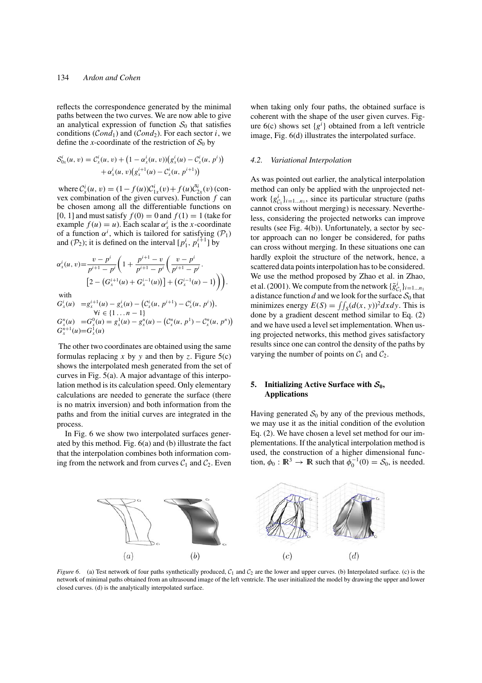reflects the correspondence generated by the minimal paths between the two curves. We are now able to give an analytical expression of function  $S_0$  that satisfies conditions (*Cond*<sub>1</sub>) and (*Cond*<sub>2</sub>). For each sector *i*, we define the *x*-coordinate of the restriction of  $S_0$  by

$$
S_{0x}^{i}(u, v) = C_{x}^{i}(u, v) + (1 - \alpha_{x}^{i}(u, v))(g_{x}^{i}(u) - C_{x}^{i}(u, p^{i}))
$$
  
+  $\alpha_{x}^{i}(u, v)(g_{x}^{i+1}(u) - C_{x}^{i}(u, p^{i+1}))$ 

where  $C_x^i(u, v) = (1 - f(u))C_{1x}^i(v) + f(u)\tilde{C}_{2x}^i(v)$  (convex combination of the given curves). Function *f* can be chosen among all the differentiable functions on [0, 1] and must satisfy  $f(0) = 0$  and  $f(1) = 1$  (take for example  $f(u) = u$ ). Each scalar  $\alpha_x^i$  is the *x*-coordinate of a function  $\alpha^i$ , which is tailored for satisfying  $(\mathcal{P}_1)$ and ( $\mathcal{P}_2$ ); it is defined on the interval  $[p_1^i, p_1^{i+1}]$  by

$$
\alpha_x^i(u,v) = \frac{v - p^i}{p^{i+1} - p^i} \left( 1 + \frac{p^{i+1} - v}{p^{i+1} - p^i} \left( \frac{v - p^i}{p^{i+1} - p^i} \right) \right)
$$
  
\n
$$
\left[ 2 - \left( G_x^{i+1}(u) + G_x^{i-1}(u) \right) \right] + \left( G_x^{i-1}(u) - 1 \right) \right).
$$

with

$$
G_x^i(u) = g_x^{i+1}(u) - g_x^i(u) - (C_x^i(u, p^{i+1}) - C_x^i(u, p^i)),
$$
  
\n
$$
\forall i \in \{1...n-1\}
$$
  
\n
$$
G_x^n(u) = G_x^0(u) = g_x^1(u) - g_x^n(u) - (C_x^n(u, p^1) - C_x^n(u, p^n))
$$
  
\n
$$
G_x^{n+1}(u) = G_x^1(u)
$$

The other two coordinates are obtained using the same formulas replacing x by y and then by z. Figure  $5(c)$ shows the interpolated mesh generated from the set of curves in Fig. 5(a). A major advantage of this interpolation method is its calculation speed. Only elementary calculations are needed to generate the surface (there is no matrix inversion) and both information from the paths and from the initial curves are integrated in the process.

In Fig. 6 we show two interpolated surfaces generated by this method. Fig. 6(a) and (b) illustrate the fact that the interpolation combines both information coming from the network and from curves  $C_1$  and  $C_2$ . Even when taking only four paths, the obtained surface is coherent with the shape of the user given curves. Figure  $6(c)$  shows set  ${g<sup>i</sup>}$  obtained from a left ventricle image, Fig. 6(d) illustrates the interpolated surface.

#### *4.2. Variational Interpolation*

As was pointed out earlier, the analytical interpolation method can only be applied with the unprojected network  ${g_{\mathcal{C}_1}^i}_{i=1...n_1}$ , since its particular structure (paths cannot cross without merging) is necessary. Nevertheless, considering the projected networks can improve results (see Fig. 4(b)). Unfortunately, a sector by sector approach can no longer be considered, for paths can cross without merging. In these situations one can hardly exploit the structure of the network, hence, a scattered data points interpolation has to be considered. We use the method proposed by Zhao et al. in Zhao, et al. (2001). We compute from the network  $\{\tilde{g}_{\mathcal{C}_1}^i\}_{i=1...n_1}$ a distance function  $d$  and we look for the surface  $S_0$  that minimizes energy  $E(S) = \iint_S (d(x, y))^2 dx dy$ . This is done by a gradient descent method similar to Eq. (2) and we have used a level set implementation. When using projected networks, this method gives satisfactory results since one can control the density of the paths by varying the number of points on  $C_1$  and  $C_2$ .

# **5.** Initializing Active Surface with  $S_0$ , **Applications**

Having generated  $S_0$  by any of the previous methods, we may use it as the initial condition of the evolution Eq. (2). We have chosen a level set method for our implementations. If the analytical interpolation method is used, the construction of a higher dimensional function,  $\phi_0 : \mathbb{R}^3 \to \mathbb{R}$  such that  $\phi_0^{-1}(0) = \mathcal{S}_0$ , is needed.



*Figure 6.* (a) Test network of four paths synthetically produced,  $C_1$  and  $C_2$  are the lower and upper curves. (b) Interpolated surface. (c) is the network of minimal paths obtained from an ultrasound image of the left ventricle. The user initialized the model by drawing the upper and lower closed curves. (d) is the analytically interpolated surface.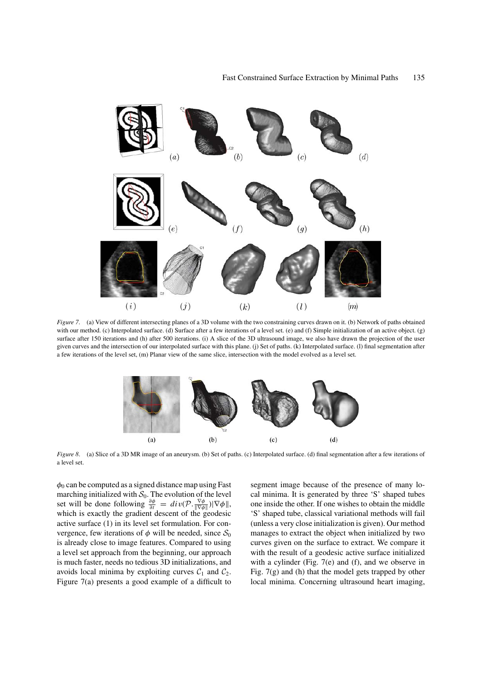

*Figure 7.* (a) View of different intersecting planes of a 3D volume with the two constraining curves drawn on it. (b) Network of paths obtained with our method. (c) Interpolated surface. (d) Surface after a few iterations of a level set. (e) and (f) Simple initialization of an active object. (g) surface after 150 iterations and (h) after 500 iterations. (i) A slice of the 3D ultrasound image, we also have drawn the projection of the user given curves and the intersection of our interpolated surface with this plane. (j) Set of paths. (k) Interpolated surface. (l) final segmentation after a few iterations of the level set, (m) Planar view of the same slice, intersection with the model evolved as a level set.



*Figure 8.* (a) Slice of a 3D MR image of an aneurysm. (b) Set of paths. (c) Interpolated surface. (d) final segmentation after a few iterations of a level set.

 $\phi_0$  can be computed as a signed distance map using Fast marching initialized with  $S_0$ . The evolution of the level set will be done following  $\frac{\partial \phi}{\partial t} = div(\mathcal{P} \cdot \frac{\nabla \phi}{\|\nabla \phi\|}) |\nabla \phi\|$ , which is exactly the gradient descent of the geodesic active surface (1) in its level set formulation. For convergence, few iterations of  $\phi$  will be needed, since  $S_0$ is already close to image features. Compared to using a level set approach from the beginning, our approach is much faster, needs no tedious 3D initializations, and avoids local minima by exploiting curves  $C_1$  and  $C_2$ . Figure 7(a) presents a good example of a difficult to

segment image because of the presence of many local minima. It is generated by three 'S' shaped tubes one inside the other. If one wishes to obtain the middle 'S' shaped tube, classical variational methods will fail (unless a very close initialization is given). Our method manages to extract the object when initialized by two curves given on the surface to extract. We compare it with the result of a geodesic active surface initialized with a cylinder (Fig. 7(e) and (f), and we observe in Fig. 7(g) and (h) that the model gets trapped by other local minima. Concerning ultrasound heart imaging,